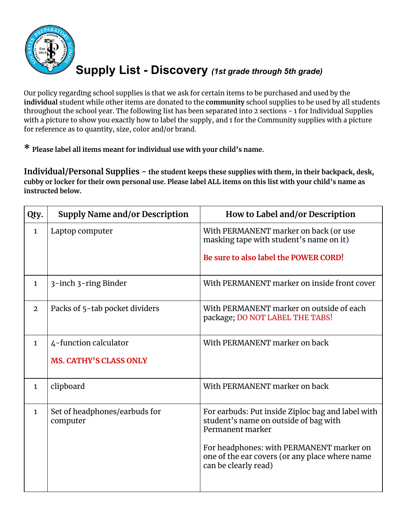

## **Supply List - Discovery** *(1st grade through 5th grade)*

Our policy regarding school supplies is that we ask for certain items to be purchased and used by the **individual** student while other items are donated to the **community** school supplies to be used by all students throughout the school year. The following list has been separated into 2 sections - 1 for Individual Supplies with a picture to show you exactly how to label the supply, and 1 for the Community supplies with a picture for reference as to quantity, size, color and/or brand.

**\* Please label all items meant for individual use with your child's name.**

**Individual/Personal Supplies - the student keeps these supplies with them, in their backpack, desk,** cubby or locker for their own personal use. Please label ALL items on this list with your child's name as **instructed below.**

| Laptop computer                                                                       | With PERMANENT marker on back (or use<br>masking tape with student's name on it)                                                                                                         |
|---------------------------------------------------------------------------------------|------------------------------------------------------------------------------------------------------------------------------------------------------------------------------------------|
|                                                                                       | Be sure to also label the POWER CORD!                                                                                                                                                    |
| 3-inch 3-ring Binder                                                                  | With PERMANENT marker on inside front cover                                                                                                                                              |
| Packs of 5-tab pocket dividers                                                        | With PERMANENT marker on outside of each<br>package; DO NOT LABEL THE TABS!                                                                                                              |
| 4-function calculator<br><b>MS. CATHY'S CLASS ONLY</b>                                | With PERMANENT marker on back                                                                                                                                                            |
| clipboard                                                                             | With PERMANENT marker on back                                                                                                                                                            |
| Set of headphones/earbuds for<br>computer<br>Permanent marker<br>can be clearly read) | For earbuds: Put inside Ziploc bag and label with<br>student's name on outside of bag with<br>For headphones: with PERMANENT marker on<br>one of the ear covers (or any place where name |
|                                                                                       |                                                                                                                                                                                          |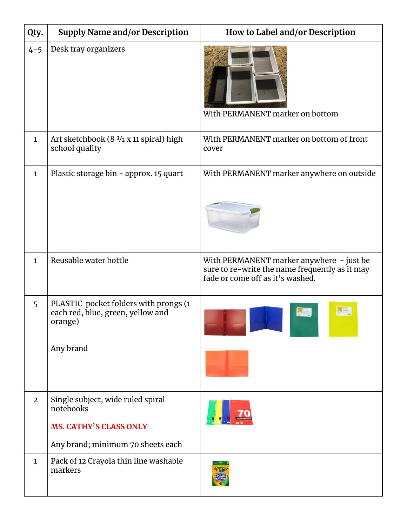| Qty.           | <b>Supply Name and/or Description</b>                                                                                | How to Label and/or Description                                                                                                |
|----------------|----------------------------------------------------------------------------------------------------------------------|--------------------------------------------------------------------------------------------------------------------------------|
| $4 - 5$        | Desk tray organizers                                                                                                 | With PERMANENT marker on bottom                                                                                                |
| $\mathbf{1}$   | Art sketchbook $(8\frac{1}{2} \times 11 \text{ spiral})$ high<br>school quality                                      | With PERMANENT marker on bottom of front<br>cover                                                                              |
| $\mathbf{1}$   | Plastic storage bin - approx. 15 quart                                                                               | With PERMANENT marker anywhere on outside                                                                                      |
| $\mathbf{1}$   | Reusable water bottle                                                                                                | With PERMANENT marker anywhere - just be<br>sure to re-write the name frequently as it may<br>fade or come off as it's washed. |
| 5              | PLASTIC pocket folders with prongs (1<br>each red, blue, green, yellow and<br>orange)<br>Any brand                   |                                                                                                                                |
| $\overline{2}$ | Single subject, wide ruled spiral<br>notebooks<br><b>MS. CATHY'S CLASS ONLY</b><br>Any brand; minimum 70 sheets each |                                                                                                                                |
| $\mathbf{1}$   | Pack of 12 Crayola thin line washable<br>markers                                                                     |                                                                                                                                |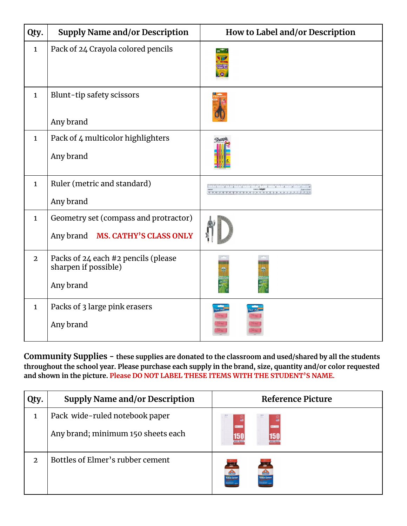| Qty.           | <b>Supply Name and/or Description</b>                                               | How to Label and/or Description |
|----------------|-------------------------------------------------------------------------------------|---------------------------------|
| $\mathbf{1}$   | Pack of 24 Crayola colored pencils                                                  |                                 |
| $\mathbf{1}$   | Blunt-tip safety scissors<br>Any brand                                              |                                 |
| $\mathbf{1}$   | Pack of 4 multicolor highlighters<br>Any brand                                      | $\triangle$ hatipu              |
| $\mathbf{1}$   | Ruler (metric and standard)<br>Any brand                                            |                                 |
| $\mathbf{1}$   | Geometry set (compass and protractor)<br><b>MS. CATHY'S CLASS ONLY</b><br>Any brand |                                 |
| $\overline{2}$ | Packs of 24 each #2 pencils (please<br>sharpen if possible)<br>Any brand            |                                 |
| $\mathbf{1}$   | Packs of 3 large pink erasers<br>Any brand                                          |                                 |

**Community Supplies - these supplies are donated to the classroom and used/shared by all the students throughout the school year. Please purchase each supply in the brand, size, quantity and/or color requested and shown in the picture. Please DO NOT LABEL THESE ITEMS WITH THE STUDENT'S NAME.**

| Qty. | <b>Supply Name and/or Description</b> |                              | <b>Reference Picture</b> |
|------|---------------------------------------|------------------------------|--------------------------|
| 1    | Pack wide-ruled notebook paper        |                              |                          |
|      | Any brand; minimum 150 sheets each    | 150<br>WIDE RULE             | <b>150</b>               |
| 2    | Bottles of Elmer's rubber cement      | <b>Change</b><br>Pubber Ceme | $\mathbf{H}$             |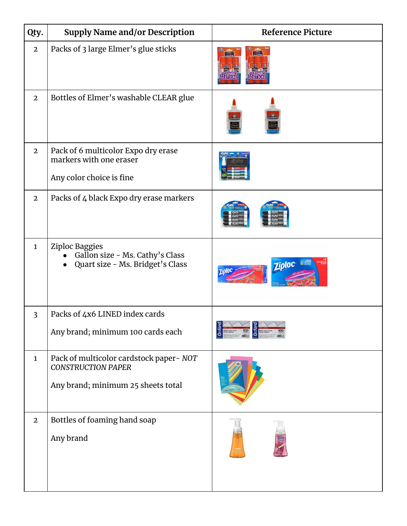| Qty.           | <b>Supply Name and/or Description</b>                                                                      | <b>Reference Picture</b>       |
|----------------|------------------------------------------------------------------------------------------------------------|--------------------------------|
| $\overline{2}$ | Packs of 3 large Elmer's glue sticks                                                                       |                                |
| $\overline{2}$ | Bottles of Elmer's washable CLEAR glue                                                                     |                                |
| $\overline{2}$ | Pack of 6 multicolor Expo dry erase<br>markers with one eraser<br>Any color choice is fine                 |                                |
| $\overline{2}$ | Packs of 4 black Expo dry erase markers                                                                    |                                |
| $\mathbf{1}$   | Ziploc Baggies<br>Gallon size - Ms. Cathy's Class<br>Quart size - Ms. Bridget's Class                      | <b>Ziploc</b><br><b>Zioloc</b> |
| $\overline{3}$ | Packs of 4x6 LINED index cards<br>Any brand; minimum 100 cards each                                        |                                |
| $\mathbf{1}$   | Pack of multicolor cardstock paper- NOT<br><b>CONSTRUCTION PAPER</b><br>Any brand; minimum 25 sheets total |                                |
| $\overline{2}$ | Bottles of foaming hand soap<br>Any brand                                                                  |                                |